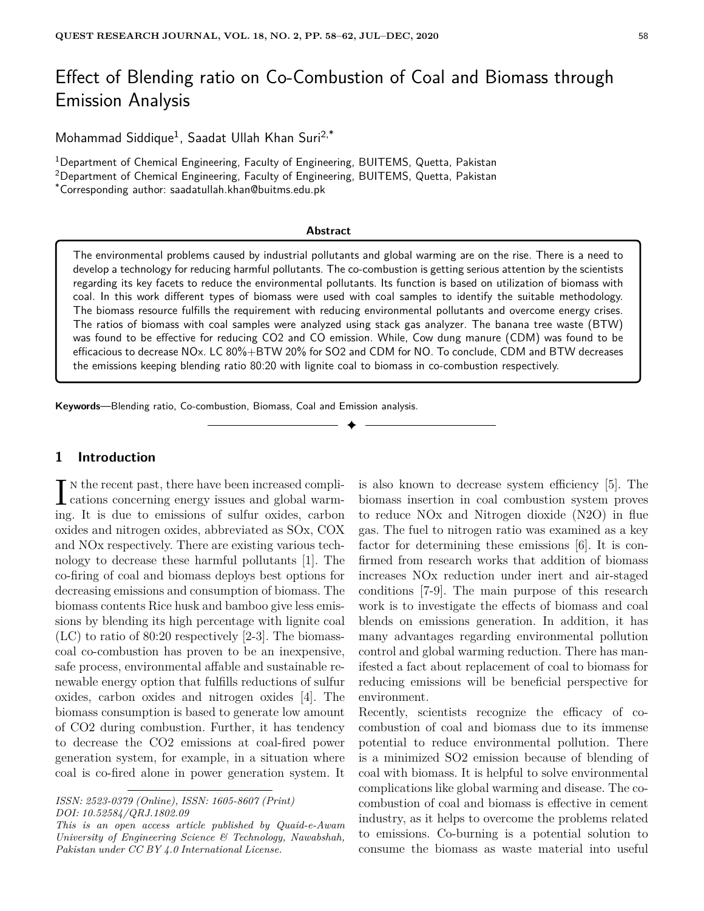# Effect of Blending ratio on Co-Combustion of Coal and Biomass through Emission Analysis

Mohammad Siddique<sup>1</sup>, Saadat Ullah Khan Suri<sup>2,\*</sup>

<sup>1</sup>Department of Chemical Engineering, Faculty of Engineering, BUITEMS, Quetta, Pakistan <sup>2</sup>Department of Chemical Engineering, Faculty of Engineering, BUITEMS, Quetta, Pakistan \*Corresponding author: saadatullah.khan@buitms.edu.pk

#### **Abstract**

The environmental problems caused by industrial pollutants and global warming are on the rise. There is a need to develop a technology for reducing harmful pollutants. The co-combustion is getting serious attention by the scientists regarding its key facets to reduce the environmental pollutants. Its function is based on utilization of biomass with coal. In this work different types of biomass were used with coal samples to identify the suitable methodology. The biomass resource fulfills the requirement with reducing environmental pollutants and overcome energy crises. The ratios of biomass with coal samples were analyzed using stack gas analyzer. The banana tree waste (BTW) was found to be effective for reducing CO2 and CO emission. While, Cow dung manure (CDM) was found to be efficacious to decrease NOx. LC 80%+BTW 20% for SO2 and CDM for NO. To conclude, CDM and BTW decreases the emissions keeping blending ratio 80:20 with lignite coal to biomass in co-combustion respectively.

✦

**Keywords**—Blending ratio, Co-combustion, Biomass, Coal and Emission analysis.

# **1 Introduction**

 $\prod_{\text{cations}}$  is the recent past, there have been increased complications concerning energy issues and global warmn the recent past, there have been increased compliing. It is due to emissions of sulfur oxides, carbon oxides and nitrogen oxides, abbreviated as SOx, COX and NOx respectively. There are existing various technology to decrease these harmful pollutants [1]. The co-firing of coal and biomass deploys best options for decreasing emissions and consumption of biomass. The biomass contents Rice husk and bamboo give less emissions by blending its high percentage with lignite coal (LC) to ratio of 80:20 respectively [2-3]. The biomasscoal co-combustion has proven to be an inexpensive, safe process, environmental affable and sustainable renewable energy option that fulfills reductions of sulfur oxides, carbon oxides and nitrogen oxides [4]. The biomass consumption is based to generate low amount of CO2 during combustion. Further, it has tendency to decrease the CO2 emissions at coal-fired power generation system, for example, in a situation where coal is co-fired alone in power generation system. It

is also known to decrease system efficiency [5]. The biomass insertion in coal combustion system proves to reduce NOx and Nitrogen dioxide (N2O) in flue gas. The fuel to nitrogen ratio was examined as a key factor for determining these emissions [6]. It is confirmed from research works that addition of biomass increases NOx reduction under inert and air-staged conditions [7-9]. The main purpose of this research work is to investigate the effects of biomass and coal blends on emissions generation. In addition, it has many advantages regarding environmental pollution control and global warming reduction. There has manifested a fact about replacement of coal to biomass for reducing emissions will be beneficial perspective for environment.

Recently, scientists recognize the efficacy of cocombustion of coal and biomass due to its immense potential to reduce environmental pollution. There is a minimized SO2 emission because of blending of coal with biomass. It is helpful to solve environmental complications like global warming and disease. The cocombustion of coal and biomass is effective in cement industry, as it helps to overcome the problems related to emissions. Co-burning is a potential solution to consume the biomass as waste material into useful

*ISSN: 2523-0379 (Online), ISSN: 1605-8607 (Print) DOI: 10.52584/QRJ.1802.09*

*This is an open access article published by Quaid-e-Awam University of Engineering Science & Technology, Nawabshah, Pakistan under CC BY 4.0 International License.*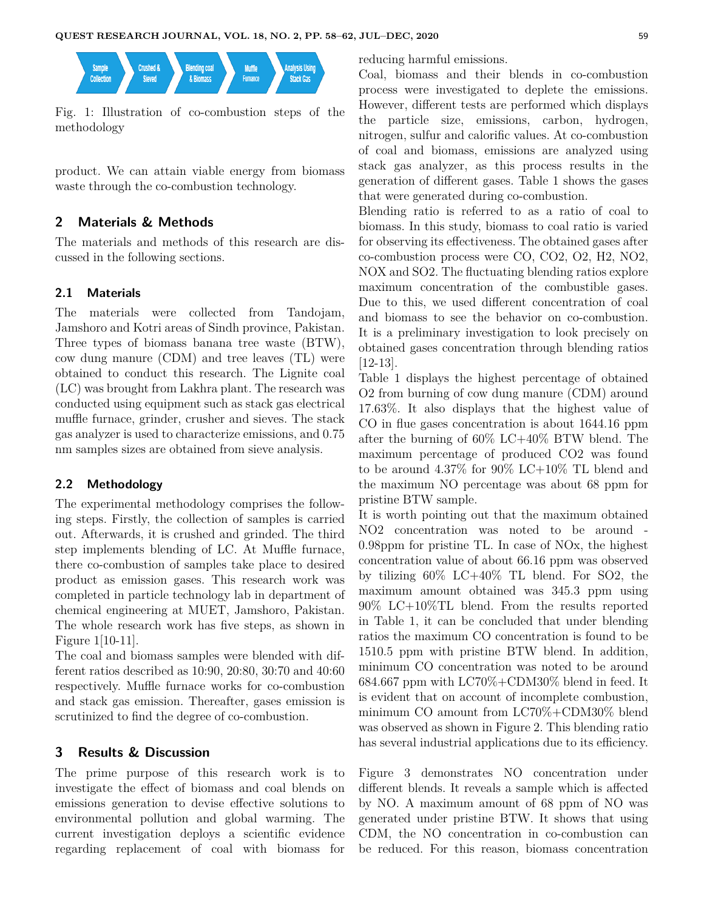

Fig. 1: Illustration of co-combustion steps of the methodology

product. We can attain viable energy from biomass waste through the co-combustion technology.

## **2 Materials & Methods**

The materials and methods of this research are discussed in the following sections.

#### **2.1 Materials**

The materials were collected from Tandojam, Jamshoro and Kotri areas of Sindh province, Pakistan. Three types of biomass banana tree waste (BTW), cow dung manure (CDM) and tree leaves (TL) were obtained to conduct this research. The Lignite coal (LC) was brought from Lakhra plant. The research was conducted using equipment such as stack gas electrical muffle furnace, grinder, crusher and sieves. The stack gas analyzer is used to characterize emissions, and 0.75 nm samples sizes are obtained from sieve analysis.

#### **2.2 Methodology**

The experimental methodology comprises the following steps. Firstly, the collection of samples is carried out. Afterwards, it is crushed and grinded. The third step implements blending of LC. At Muffle furnace, there co-combustion of samples take place to desired product as emission gases. This research work was completed in particle technology lab in department of chemical engineering at MUET, Jamshoro, Pakistan. The whole research work has five steps, as shown in Figure 1[10-11].

The coal and biomass samples were blended with different ratios described as 10:90, 20:80, 30:70 and 40:60 respectively. Muffle furnace works for co-combustion and stack gas emission. Thereafter, gases emission is scrutinized to find the degree of co-combustion.

#### **3 Results & Discussion**

The prime purpose of this research work is to investigate the effect of biomass and coal blends on emissions generation to devise effective solutions to environmental pollution and global warming. The current investigation deploys a scientific evidence regarding replacement of coal with biomass for reducing harmful emissions.

Coal, biomass and their blends in co-combustion process were investigated to deplete the emissions. However, different tests are performed which displays the particle size, emissions, carbon, hydrogen, nitrogen, sulfur and calorific values. At co-combustion of coal and biomass, emissions are analyzed using stack gas analyzer, as this process results in the generation of different gases. Table 1 shows the gases that were generated during co-combustion.

Blending ratio is referred to as a ratio of coal to biomass. In this study, biomass to coal ratio is varied for observing its effectiveness. The obtained gases after co-combustion process were CO, CO2, O2, H2, NO2, NOX and SO2. The fluctuating blending ratios explore maximum concentration of the combustible gases. Due to this, we used different concentration of coal and biomass to see the behavior on co-combustion. It is a preliminary investigation to look precisely on obtained gases concentration through blending ratios [12-13].

Table 1 displays the highest percentage of obtained O2 from burning of cow dung manure (CDM) around 17.63%. It also displays that the highest value of CO in flue gases concentration is about 1644.16 ppm after the burning of 60% LC+40% BTW blend. The maximum percentage of produced CO2 was found to be around 4.37% for 90% LC+10% TL blend and the maximum NO percentage was about 68 ppm for pristine BTW sample.

It is worth pointing out that the maximum obtained NO2 concentration was noted to be around - 0.98ppm for pristine TL. In case of NOx, the highest concentration value of about 66.16 ppm was observed by tilizing 60% LC+40% TL blend. For SO2, the maximum amount obtained was 345.3 ppm using 90% LC+10%TL blend. From the results reported in Table 1, it can be concluded that under blending ratios the maximum CO concentration is found to be 1510.5 ppm with pristine BTW blend. In addition, minimum CO concentration was noted to be around 684.667 ppm with LC70%+CDM30% blend in feed. It is evident that on account of incomplete combustion, minimum CO amount from LC70%+CDM30% blend was observed as shown in Figure 2. This blending ratio has several industrial applications due to its efficiency.

Figure 3 demonstrates NO concentration under different blends. It reveals a sample which is affected by NO. A maximum amount of 68 ppm of NO was generated under pristine BTW. It shows that using CDM, the NO concentration in co-combustion can be reduced. For this reason, biomass concentration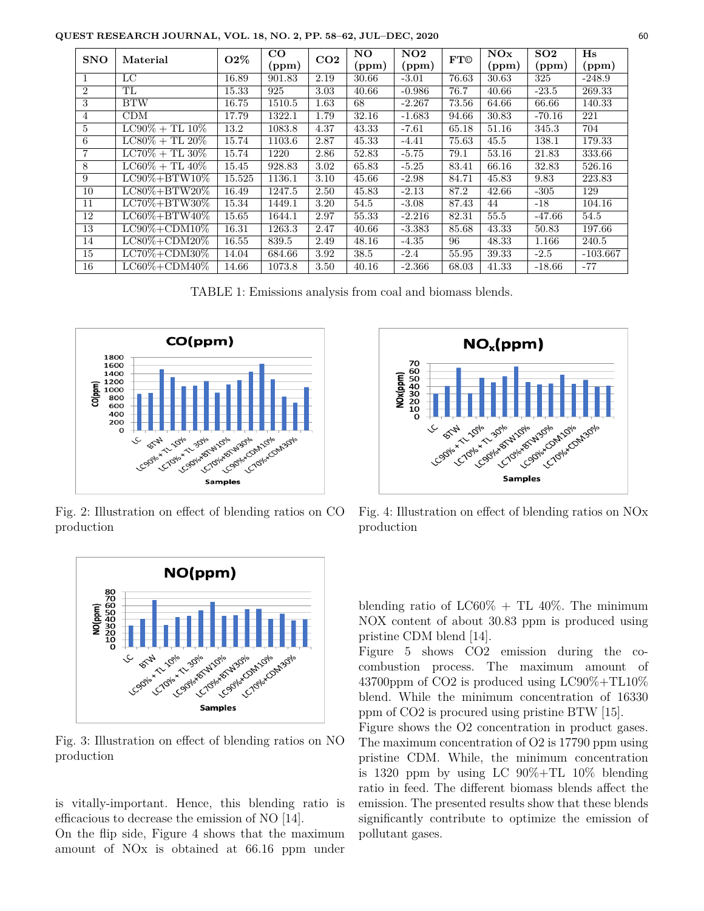**QUEST RESEARCH JOURNAL, VOL. 18, NO. 2, PP. 58–62, JUL–DEC, 2020** 60

| <b>SNO</b>     | Material                | <b>O2%</b> | $_{\rm CO}$ | CO <sub>2</sub> | NO    | NO <sub>2</sub> | <b>FT©</b> | NOx   | SO <sub>2</sub> | H <sub>s</sub> |
|----------------|-------------------------|------------|-------------|-----------------|-------|-----------------|------------|-------|-----------------|----------------|
|                |                         |            | (ppm)       |                 | (ppm) | (ppm)           |            | (ppm) | (ppm)           | (ppm)          |
| л.             | LС                      | 16.89      | 901.83      | 2.19            | 30.66 | $-3.01$         | 76.63      | 30.63 | 325             | $-248.9$       |
| $\overline{2}$ | TL                      | 15.33      | 925         | 3.03            | 40.66 | $-0.986$        | 76.7       | 40.66 | $-23.5$         | 269.33         |
| 3              | <b>BTW</b>              | 16.75      | 1510.5      | 1.63            | 68    | $-2.267$        | 73.56      | 64.66 | 66.66           | 140.33         |
| $\overline{4}$ | CDM                     | 17.79      | 1322.1      | 1.79            | 32.16 | $-1.683$        | 94.66      | 30.83 | $-70.16$        | 221            |
| 5              | $L C90\% + T L 10\%$    | 13.2       | 1083.8      | 4.37            | 43.33 | $-7.61$         | 65.18      | 51.16 | 345.3           | 704            |
| 6              | $LC80\% + TL 20\%$      | 15.74      | 1103.6      | 2.87            | 45.33 | $-4.41$         | 75.63      | 45.5  | 138.1           | 179.33         |
| 7              | $LC70\% + TL 30\%$      | 15.74      | 1220        | 2.86            | 52.83 | $-5.75$         | 79.1       | 53.16 | 21.83           | 333.66         |
| 8              | $LCG0\% + TL40\%$       | 15.45      | 928.83      | 3.02            | 65.83 | $-5.25$         | 83.41      | 66.16 | 32.83           | 526.16         |
| 9              | $LCO0\% + BTW10\%$      | 15.525     | 1136.1      | 3.10            | 45.66 | $-2.98$         | 84.71      | 45.83 | 9.83            | 223.83         |
| 10             | $LCS0\% + BTW20\%$      | 16.49      | 1247.5      | 2.50            | 45.83 | $-2.13$         | 87.2       | 42.66 | $-305$          | 129            |
| 11             | $LC70\%+\text{BTW30\%}$ | 15.34      | 1449.1      | 3.20            | 54.5  | $-3.08$         | 87.43      | 44    | $-18$           | 104.16         |
| 12             | $LCG0\% + BTW40\%$      | 15.65      | 1644.1      | 2.97            | 55.33 | $-2.216$        | 82.31      | 55.5  | $-47.66$        | 54.5           |
| 13             | $LCO0\% + CDM10\%$      | 16.31      | 1263.3      | 2.47            | 40.66 | $-3.383$        | 85.68      | 43.33 | 50.83           | 197.66         |
| 14             | $LCS0\%+\text{CDM}20\%$ | 16.55      | 839.5       | 2.49            | 48.16 | $-4.35$         | 96         | 48.33 | 1.166           | 240.5          |
| 15             | $LC70\% + CDM30\%$      | 14.04      | 684.66      | 3.92            | 38.5  | $-2.4$          | 55.95      | 39.33 | $-2.5$          | $-103.667$     |
| 16             | $LCG0\% + CDM40\%$      | 14.66      | 1073.8      | 3.50            | 40.16 | $-2.366$        | 68.03      | 41.33 | $-18.66$        | $-77$          |

TABLE 1: Emissions analysis from coal and biomass blends.



Fig. 2: Illustration on effect of blending ratios on CO production



Fig. 3: Illustration on effect of blending ratios on NO production

is vitally-important. Hence, this blending ratio is efficacious to decrease the emission of NO [14].

On the flip side, Figure 4 shows that the maximum amount of NOx is obtained at 66.16 ppm under



Fig. 4: Illustration on effect of blending ratios on NOx production

blending ratio of  $LC60\% + TL 40\%.$  The minimum NOX content of about 30.83 ppm is produced using pristine CDM blend [14].

Figure 5 shows CO2 emission during the cocombustion process. The maximum amount of 43700ppm of CO2 is produced using LC90%+TL10% blend. While the minimum concentration of 16330 ppm of CO2 is procured using pristine BTW [15].

Figure shows the O2 concentration in product gases. The maximum concentration of O2 is 17790 ppm using pristine CDM. While, the minimum concentration is 1320 ppm by using LC  $90\% + TL$  10% blending ratio in feed. The different biomass blends affect the emission. The presented results show that these blends significantly contribute to optimize the emission of pollutant gases.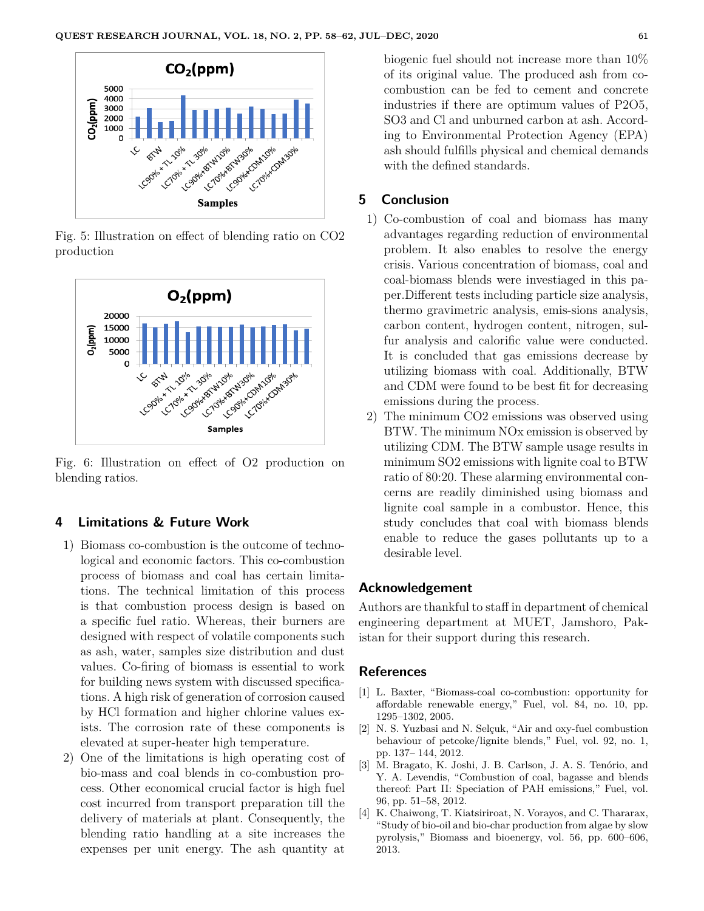

Fig. 5: Illustration on effect of blending ratio on CO2 production



Fig. 6: Illustration on effect of O2 production on blending ratios.

## **4 Limitations & Future Work**

- 1) Biomass co-combustion is the outcome of technological and economic factors. This co-combustion process of biomass and coal has certain limitations. The technical limitation of this process is that combustion process design is based on a specific fuel ratio. Whereas, their burners are designed with respect of volatile components such as ash, water, samples size distribution and dust values. Co-firing of biomass is essential to work for building news system with discussed specifications. A high risk of generation of corrosion caused by HCl formation and higher chlorine values exists. The corrosion rate of these components is elevated at super-heater high temperature.
- 2) One of the limitations is high operating cost of bio-mass and coal blends in co-combustion process. Other economical crucial factor is high fuel cost incurred from transport preparation till the delivery of materials at plant. Consequently, the blending ratio handling at a site increases the expenses per unit energy. The ash quantity at

biogenic fuel should not increase more than 10% of its original value. The produced ash from cocombustion can be fed to cement and concrete industries if there are optimum values of P2O5, SO3 and Cl and unburned carbon at ash. According to Environmental Protection Agency (EPA) ash should fulfills physical and chemical demands with the defined standards.

## **5 Conclusion**

- 1) Co-combustion of coal and biomass has many advantages regarding reduction of environmental problem. It also enables to resolve the energy crisis. Various concentration of biomass, coal and coal-biomass blends were investiaged in this paper.Different tests including particle size analysis, thermo gravimetric analysis, emis-sions analysis, carbon content, hydrogen content, nitrogen, sulfur analysis and calorific value were conducted. It is concluded that gas emissions decrease by utilizing biomass with coal. Additionally, BTW and CDM were found to be best fit for decreasing emissions during the process.
- 2) The minimum CO2 emissions was observed using BTW. The minimum NOx emission is observed by utilizing CDM. The BTW sample usage results in minimum SO2 emissions with lignite coal to BTW ratio of 80:20. These alarming environmental concerns are readily diminished using biomass and lignite coal sample in a combustor. Hence, this study concludes that coal with biomass blends enable to reduce the gases pollutants up to a desirable level.

## **Acknowledgement**

Authors are thankful to staff in department of chemical engineering department at MUET, Jamshoro, Pakistan for their support during this research.

#### **References**

- [1] L. Baxter, "Biomass-coal co-combustion: opportunity for affordable renewable energy," Fuel, vol. 84, no. 10, pp. 1295–1302, 2005.
- [2] N. S. Yuzbasi and N. Selçuk, "Air and oxy-fuel combustion behaviour of petcoke/lignite blends," Fuel, vol. 92, no. 1, pp. 137– 144, 2012.
- [3] M. Bragato, K. Joshi, J. B. Carlson, J. A. S. Tenório, and Y. A. Levendis, "Combustion of coal, bagasse and blends thereof: Part II: Speciation of PAH emissions," Fuel, vol. 96, pp. 51–58, 2012.
- [4] K. Chaiwong, T. Kiatsiriroat, N. Vorayos, and C. Thararax, "Study of bio-oil and bio-char production from algae by slow pyrolysis," Biomass and bioenergy, vol. 56, pp. 600–606, 2013.